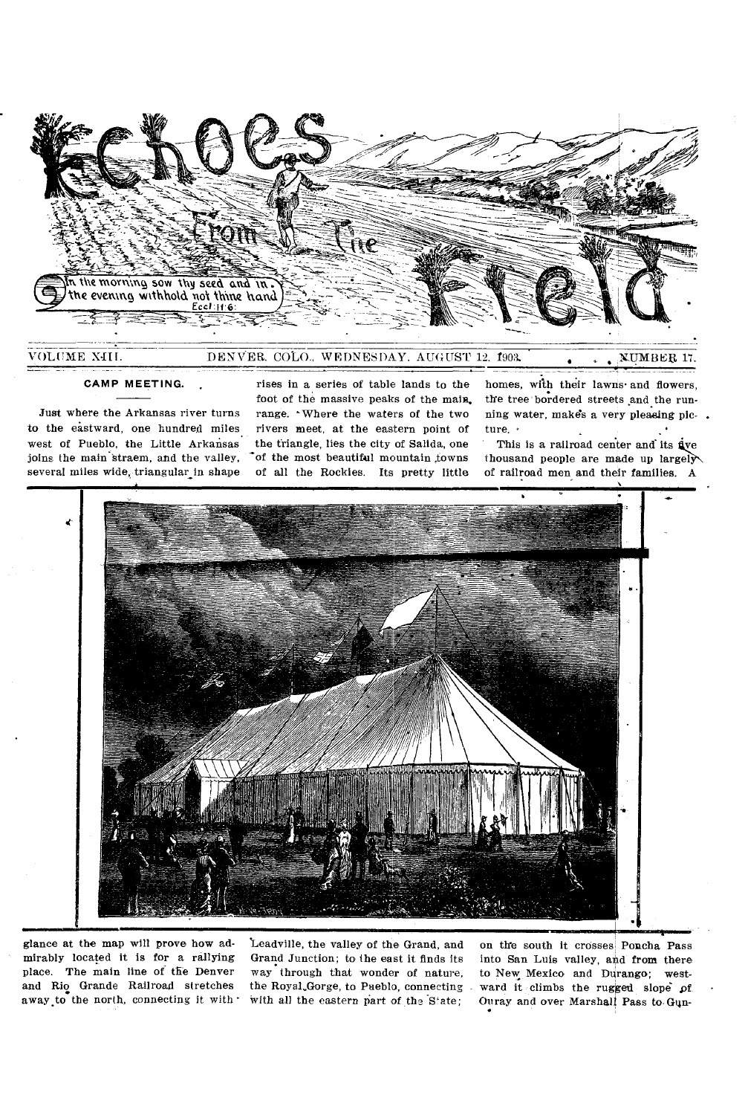

DENVER. COLO., WEDNESDAY. AUGUST 12. 1903 VOLUME XlIf. ,N-U.MBEU 17. •

## **CAMP MEETING.**

Just where the Arkansas river turns to the eastward, one hundred miles west of Pueblo, the Little Arkansas joins the main straem, and the valley, several miles wide, triangular in shape

rises in a series of table lands to the foot of the massive peaks of the main. range. Where the waters of the two rivers meet, at the eastern point of the triangle, lies the city of Salida, one of the most beautiful mountain towns of all the Rockies. Its pretty little

homes, with their lawns- and flowers, the tree bordered streets and the running water, makes a very pleasing picture. .

This is a railroad center and its  $\dot{\mathbf{g}}$ ve thousand people are made up largely of railroad men and their families. A



glance at the map will prove how admirably located it is for a rallying place. The main line of the Denver and Rio Grande Railroad stretches away.to the north, connecting it with •

`Leadville, the valley of the Grand, and Grand Junction; to the east it finds its way through that wonder of nature, the RoyaLGorge, to Pueblo, connecting with all the eastern part of the State;

on the south it crosses Poncha Pass into San Luis valley, and from there to New Mexico and Durango; westward it climbs the rugged slope of Ouray and over Marshall Pass to. Gun-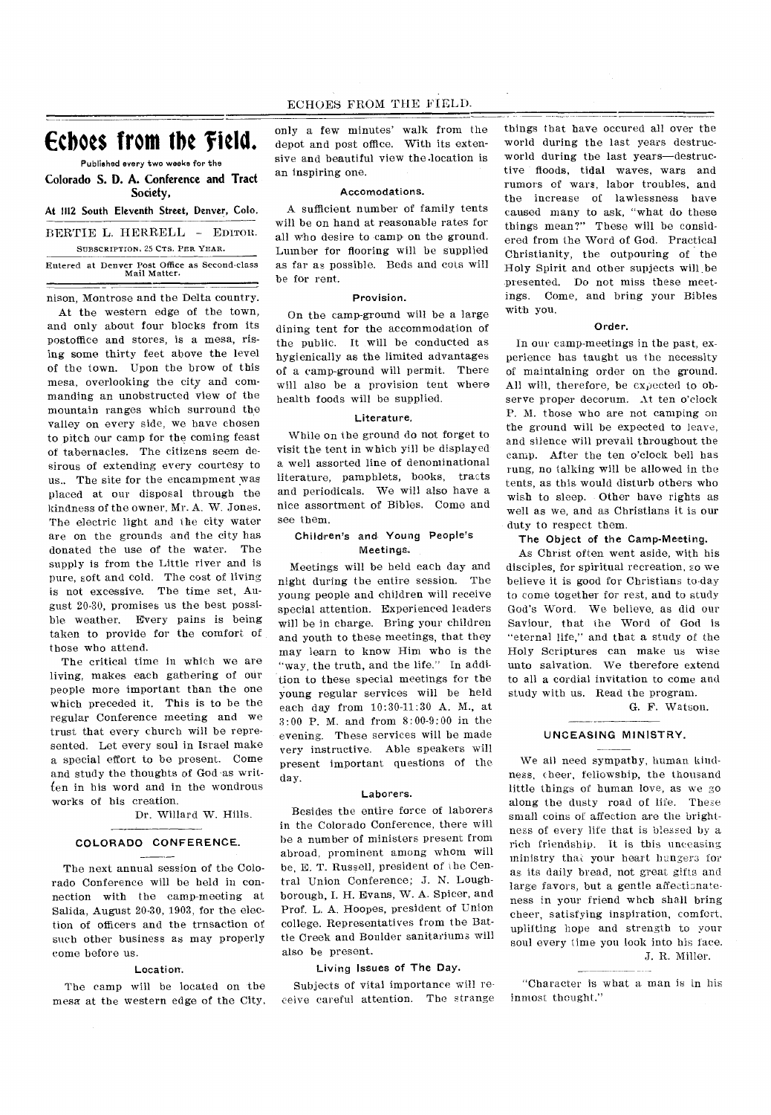# Echoes from the Field.

Published every two weeks for the **Colorado S. D. A. Conference and Tract** 

Society,

At 1112 South Eleventh Street, Denver, Colo.

BERTIE L. HERRELL - EDITOR.. SUBSCRIPTION, 25 CTS. PER YEAR.

Entered at Denver Post Office as Second-class Mail Matter.

nison, Montrose and the Delta country.

At the western edge of the town, and only about four blocks from its postoffice and stores, is a mesa, rising some thirty feet above the level of the town. Upon the brow of this mesa, overlooking the city and commanding an unobstructed view of the mountain ranges which surround the valley on every side, we have chosen to pitch our camp for the coming feast of tabernacles. The citizens seem desirous of extending every courtesy to us.. The site for the encampment was placed at our disposal through the kindness of the owner, Mr. A. W. Jones. The electric light and the city water are on the grounds and the city has donated the use of the water. The supply is from the Little river and is pure, soft and cold. The cost of living is not excessive. The time set, August 20-30, promises us the best possible weather. Every pains is being taken to provide for the comfort of those who attend.

The critical time in which we are living, makes each gathering of our people more important than the one which preceded it. This is to be the regular Conference meeting and we trust that every church will be represented. Let every soul in Israel make a special effort to be present. Come and study the thoughts of God•as written in his word and in the wondrous works of his creation.

Dr. Willard W. Hills.

# COLORADO CONFERENCE,

The next annual session of the Colorado Conference will be held in connection with the camp-meeting at Salida, August 20-30, 1903, for the election of officers and the trnsaction of such other business as may properly come before us.

## Location-.

The camp will be located on the mesa at the western edge of the City, only a few minutes' walk from the depot and post office. With its extensive and beautiful view the .location is an inspiring one.

## Accomodations.

A sufficient number of family tents will be on hand at reasonable rates for all who desire to camp on the ground. Lumber for flooring will be supplied as far as possible. Beds and cols will be for rent.

## Provision.

On the camp-ground will be a large dining tent for the accommodation of the public. It will be conducted as hygienically as the limited advantages of a camp-ground will permit. There will also be a provision tent where health foods will be supplied.

## Literature,

While on the ground do not forget to visit the tent in which yill be displayed a well assorted line of denominational literature, pamphlets, books, tracts and periodicals. We will also have a nice assortment of Bibles. Come and see them.

# Children's and Young People's Meetings.

Meetings will be held each day and night during the entire session. The young people and children will receive special attention. Experienced leaders will be in charge. Bring your children and youth to these meetings, that they may learn to know Him who is the "way, the truth, and the life." In addition to these special meetings for the young regular services will be held each day from 10:30-11:30 A. M., at 3:00 P. M. and from 8:00-9:00 in the evening. These services will be made very instructive. Able speakers will present important questions of the day.

## Laborers.

Besides the entire force of laborers in the Colorado Conference, there will be a number of ministers present from abroad, prominent among whom will be, E. T. Russell, president of the Central Union Conference; J. N. Loughborough, I. H. Evans, W. A. Spicer, and Prof. L. A. Hoopes, president of Union college. Representatives from the Battle Creek and Boulder sanitariums will also be present.

# Living Issues of The Day.

Subjects of vital importance will receive careful attention. The strange

things that have occured all over the world during the last years destrucworld during the last years—destructive floods, tidal waves, wars and rumors of wars, labor troubles, and the increase of lawlessness have caused many to ask, "what do these things mean?" These will be considered from the Word of God. Practical Christianity, the outpouring of the Holy Spirit and other supjects will be presented. Do not miss these meetings. Come, and bring your Bibles with you.

#### Order.

In our camp-meetings in the past, experience has taught us the necessity of maintaining order on the ground. All will, therefore, be expected to observe proper decorum. At ten o'clock P. M. those who are not camping on the ground will be expected to leave, and silence will prevail throughout the camp. After the ten o'clock bell has rung, no talking will be allowed in the tents, as this would disturb others who wish to sleep. Other have rights as well as we, and as Christians it is our duty to respect them.

## The Object of the Camp-Meeting.

As Christ often went aside, with his disciples, for spiritual recreation, so we believe it is good for Christians to-day to come together for rest, and to study God's Word. We believe, as did our Saviour, that the Word of God is "eternal life," and that a study of the Holy Scriptures can make us wise unto salvation. We therefore extend to all a cordial invitation to come and study with us. Read the program.

G. F. Watson.

# UNCEASING MINISTRY.

We all need sympathy, human kindness, cheer, fellowship, the thousand little things of human love, as we go along the dusty road of life. These small coins of affection are the brightness of every life that is blessed by a rich friendship. It is this unceasing ministry that your heart hungers for as its daily bread, not great gifts and large favors, but a gentle affectionateness in your friend whch shall bring cheer, satisfying inspiration, comfort, uplifting hope and strength to your soul every time you look into his face.

# J. R. Miller.

"Character is what a man is in his inmost thought."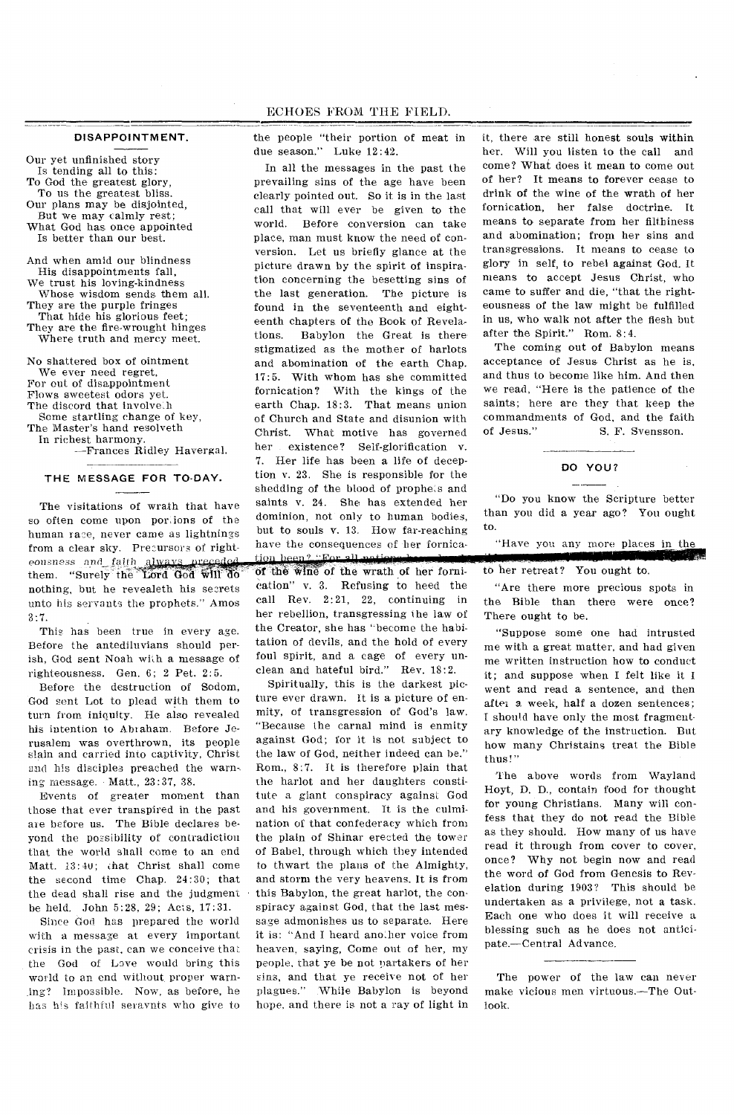## DISAPPOINTMENT.

Our yet unfinished story Is tending all to this: To God the greatest glory, To us the greatest bliss. Our plans may be disjointed, But we may calmly rest; What God has once appointed Is better than our best. And when amid our blindness

His disappointments fall, We trust his loving-kindness Whose wisdom sends them all. They are the purple fringes That hide his glorious feet; They are the fire-wrought hinges Where truth and mercy meet.

No shattered box of ointment We ever need regret, For out of disappointment Flows sweetest odors yet. The discord that involve:h Some startling change of key, The Master's hand resolveth In richest harmony.

--Frances Ridley Havergal.

#### THE MESSAGE FOR TO-DAY.

The visitations of wrath that have so often come upon portions of the human race, never came as lightnings from a clear sky. Precursors of righteousness aml\_ them. "Surely the Lord God will do nothing, but he revealeth his secrets unto his servants the prophets." Amos 3:7.

This has been true in every age. Before the antediluvians should perish, God sent Noah with a message of righteousness. Gen. 6; 2 Pet. 2:5.

Before the destruction of Sodom, God sent Lot to plead with them to turn from iniquity. He also revealed his intention to Abiaham. Before Jerusalem was overthrown, its people slain and carried into captivity, Christ and his disciples preached the warn-. ing message. • Matt., 23:37, 38.

Events of greater moment than those that ever transpired in the past are before us. The Bible declares beyond the possibility of contradiction that the world shall come to an end Matt. 13:40; chat Christ shall come the second time Chap. 24:30; that the dead shall rise and the judgment be held. John 5:28, 29; Acts, 17:31.

Since God has prepared the world with a message at every important crisis in the past, can we conceive that the God of Love would bring this world to an end without, proper warnjag? Impossible. Now, as before, he has his faithful seravnts who give to the people "their portion of meat in due season." Luke 12:42.

In all the messages in the past the prevailing sins of the age have been clearly pointed out. So it is in the last call that will ever be given to the world. Before conversion can take place, man must know the need of conversion. Let us briefly glance at the picture drawn by the spirit of inspiration concerning the besetting sins of the last generation. The picture is found in the seventeenth and eighteenth chapters of the Book of Revelations. Babylon the Great is there stigmatized as the mother of harlots and abomination of the earth Chap. 17:5. With whom has she committed fornication? With the kings of the earth Chap. 18:3. That means union of Church and State and disunion with Christ. What motive has governed her existence? Self-glorification v. 7. Her life has been a life of deception v. 23. She is responsible for the shedding of the blood of prophets and saints v. 24. She has extended her dominion, not only to human bodies, but to souls v. 13. How far-reaching have the consequences of her fornication been? "For all noti of the Wine of the wrath of her fornication" v. 3. Refusing to heed the call Rev. 2:21, 22, continuing in her rebellion, transgressing the law of

the Creator, she has 'become the habitation of devils, and the hold of every foul spirit, and a cage of every unclean and hateful bird." Rev. 18:2. Spiritually, this is the darkest pic-

ture ever drawn. It is a picture of enmity, of transgression of God's law. "Because the carnal mind is enmity against God; for it is not subject to the law of God, neither indeed can be." Rom., 8:7. It is therefore plain that the harlot and her daughters constitute a giant conspiracy against God and his government. It is the culmination of that confederacy which from the plain of Shinar erected the tower of Babel, through which they intended to thwart the plans of the Almighty, and storm the very heavens. It is from this Babylon, the great harlot, the conspiracy against God, that the last message admonishes us to separate. Here it is: "And I heard ano.her voice from heaven, saying, Come out of her, my people, that ye be not partakers of her sins, and that ye receive not of her<br>plagues." While Babylon is beyond While Babylon is beyond hope, and there is not a ray of light in it, there are still honest souls within her. Will you listen to the call and come? What does it mean to come out of her? It means to forever cease to drink of the wine of the wrath of her fornication, her false doctrine. It means to separate from her filthiness and abomination; from her sins and transgressions. It means to cease to glory in self, to rebel against God. It means to accept Jesus Christ, who came to suffer and die, "that the righteousness of the law might be fulfilled in us, who walk not after the flesh but after the Spirit." Rom. 8:4.

The coming out of Babylon means acceptance of Jesus Christ as he is, and thus to become like him. And then we read, "Here is the patience of the saints; here are they that keep the commandments of God, and the faith of Jesus." S. F. Svensson.

# DO YOU?

"Do you know the Scripture better than you did a year ago? You ought to.

"Have you any more places in the

# to her retreat? You ought to.

"Are there more precious spots in the Bible than there were once? There ought to be.

"Suppose some one had intrusted me with a great matter, and had given me written instruction how to conduct it; and suppose when I felt like it I went and read a sentence, and then after a week, half a dozen sentences; I should have only the most fragmentary knowledge of the instruction. But how many Christains treat the Bible thus!"

The above words from Wayland Hoyt, D. D., contain food for thought for young Christians. Many will confess that they do not read the Bible as they should. How many of us have read it through from cover to cover, once? Why not begin now and read the word of God from Genesis to Revelation during 1903? This should be undertaken as a privilege, not a task. Each one who does it will receive a blessing such as he does not anticipate.—Central Advance.

The power of the law can never make vicious men virtuous.—The Outlook.